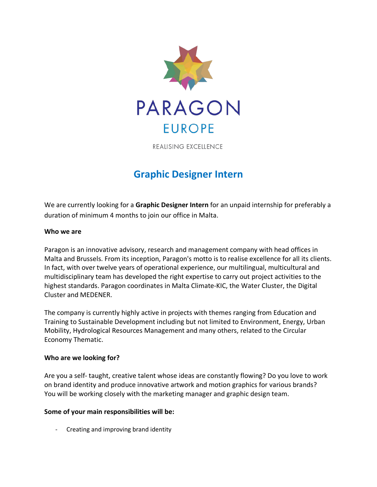

**REALISING EXCELLENCE** 

# **Graphic Designer Intern**

We are currently looking for a **Graphic Designer Intern** for an unpaid internship for preferably a duration of minimum 4 months to join our office in Malta.

## **Who we are**

Paragon is an innovative advisory, research and management company with head offices in Malta and Brussels. From its inception, Paragon's motto is to realise excellence for all its clients. In fact, with over twelve years of operational experience, our multilingual, multicultural and multidisciplinary team has developed the right expertise to carry out project activities to the highest standards. Paragon coordinates in Malta Climate-KIC, the Water Cluster, the Digital Cluster and MEDENER.

The company is currently highly active in projects with themes ranging from Education and Training to Sustainable Development including but not limited to Environment, Energy, Urban Mobility, Hydrological Resources Management and many others, related to the Circular Economy Thematic.

## **Who are we looking for?**

Are you a self- taught, creative talent whose ideas are constantly flowing? Do you love to work on brand identity and produce innovative artwork and motion graphics for various brands? You will be working closely with the marketing manager and graphic design team.

## **Some of your main responsibilities will be:**

Creating and improving brand identity